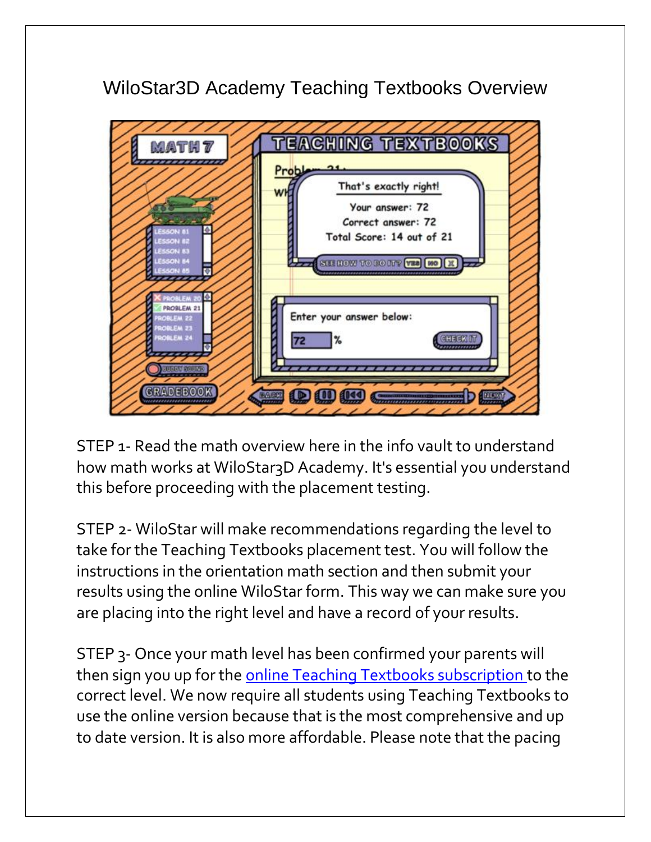## WiloStar3D Academy Teaching Textbooks Overview



STEP 1- Read the math overview here in the info vault to understand how math works at WiloStar3D Academy. It's essential you understand this before proceeding with the placement testing.

STEP 2- WiloStar will make recommendations regarding the level to take for the Teaching Textbooks placement test. You will follow the instructions in the orientation math section and then submit your results using the online WiloStar form. This way we can make sure you are placing into the right level and have a record of your results.

STEP 3- Once your math level has been confirmed your parents will then sign you up for the [online Teaching Textbooks subscription](http://teachingtextbooks.com/) to the correct level. We now require all students using Teaching Textbooks to use the online version because that is the most comprehensive and up to date version. It is also more affordable. Please note that the pacing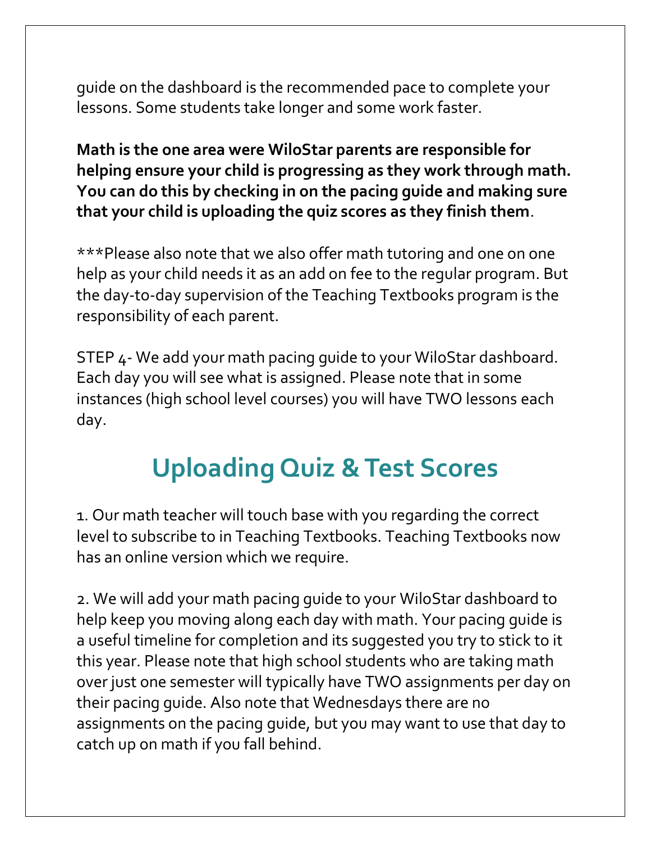guide on the dashboard is the recommended pace to complete your lessons. Some students take longer and some work faster.

**Math is the one area were WiloStar parents are responsible for helping ensure your child is progressing as they work through math. You can do this by checking in on the pacing guide and making sure that your child is uploading the quiz scores as they finish them**.

\*\*\*Please also note that we also offer math tutoring and one on one help as your child needs it as an add on fee to the regular program. But the day-to-day supervision of the Teaching Textbooks program is the responsibility of each parent.

STEP 4- We add your math pacing guide to your WiloStar dashboard. Each day you will see what is assigned. Please note that in some instances (high school level courses) you will have TWO lessons each day.

## **Uploading Quiz & Test Scores**

1. Our math teacher will touch base with you regarding the correct level to subscribe to in Teaching Textbooks. Teaching Textbooks now has an online version which we require.

2. We will add your math pacing guide to your WiloStar dashboard to help keep you moving along each day with math. Your pacing guide is a useful timeline for completion and its suggested you try to stick to it this year. Please note that high school students who are taking math over just one semester will typically have TWO assignments per day on their pacing guide. Also note that Wednesdays there are no assignments on the pacing guide, but you may want to use that day to catch up on math if you fall behind.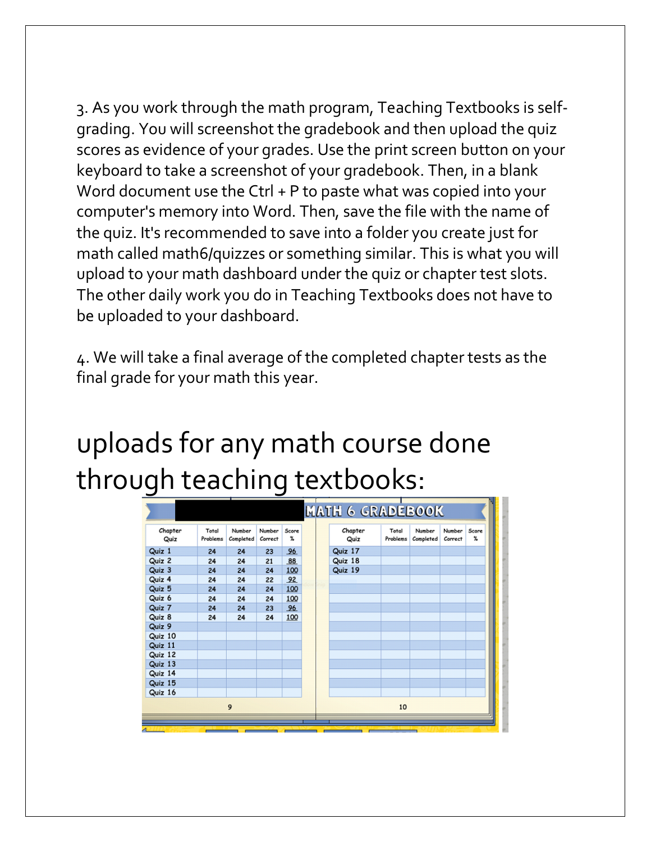3. As you work through the math program, Teaching Textbooks is selfgrading. You will screenshot the gradebook and then upload the quiz scores as evidence of your grades. Use the print screen button on your keyboard to take a screenshot of your gradebook. Then, in a blank Word document use the Ctrl + P to paste what was copied into your computer's memory into Word. Then, save the file with the name of the quiz. It's recommended to save into a folder you create just for math called math6/quizzes or something similar. This is what you will upload to your math dashboard under the quiz or chapter test slots. The other daily work you do in Teaching Textbooks does not have to be uploaded to your dashboard.

4. We will take a final average of the completed chapter tests as the final grade for your math this year.

## uploads for any math course done through teaching textbooks:

| Chapter | Total    | Number    | Number  | Score<br>$\mathfrak{A}$ |     | Chapter | Total    | Number    | Number  | Score<br>x |
|---------|----------|-----------|---------|-------------------------|-----|---------|----------|-----------|---------|------------|
| Quiz    | Problems | Completed | Correct |                         |     | Quiz    | Problems | Completed | Correct |            |
| Quiz 1  | 24       | 24        | 23      | 96                      |     | Quiz 17 |          |           |         |            |
| Quiz 2  | 24       | 24        | 21      | 88                      |     | Quiz 18 |          |           |         |            |
| Quiz 3  | 24       | 24        | 24      | 100                     |     | Quiz 19 |          |           |         |            |
| Quiz 4  | 24       | 24        | 22      | 92                      | nic |         |          |           |         |            |
| Quiz 5  | 24       | 24        | 24      | 100                     |     |         |          |           |         |            |
| Quiz 6  | 24       | 24        | 24      | 100                     |     |         |          |           |         |            |
| Quiz 7  | 24       | 24        | 23      | 96                      |     |         |          |           |         |            |
| Quiz 8  | 24       | 24        | 24      | 100                     |     |         |          |           |         |            |
| Quiz 9  |          |           |         |                         |     |         |          |           |         |            |
| Quiz 10 |          |           |         |                         |     |         |          |           |         |            |
| Quiz 11 |          |           |         |                         |     |         |          |           |         |            |
| Quiz 12 |          |           |         |                         |     |         |          |           |         |            |
| Quiz 13 |          |           |         |                         |     |         |          |           |         |            |
| Quiz 14 |          |           |         |                         |     |         |          |           |         |            |
| Quiz 15 |          |           |         |                         |     |         |          |           |         |            |
| Quiz 16 |          |           |         |                         |     |         |          |           |         |            |
|         |          | 9         |         |                         |     |         | 10       |           |         |            |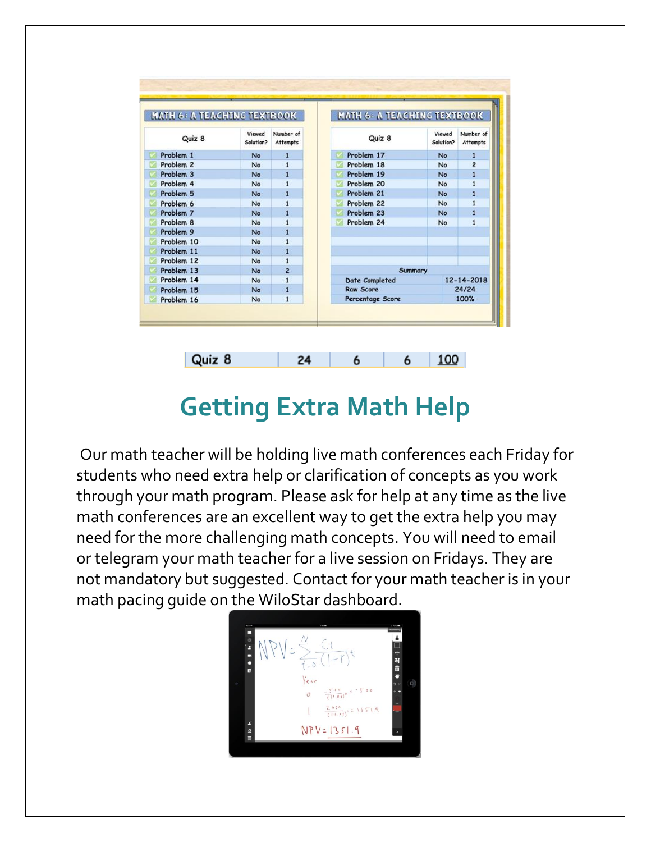| <b>MATH 6: A TEACHING TEXTBOOK</b> |                     |                              | <b>MATH 6: A TEACHING TEXTBOOK</b> |                     |                              |  |
|------------------------------------|---------------------|------------------------------|------------------------------------|---------------------|------------------------------|--|
| Quiz 8                             | Viewed<br>Solution? | Number of<br><b>Attempts</b> | Quiz 8                             | Viewed<br>Solution? | Number of<br><b>Attempts</b> |  |
| Problem 1                          | No                  | $\mathbf{1}$                 | Problem 17<br>M                    | No                  | $\mathbf{1}$                 |  |
| Problem <sub>2</sub>               | No                  | $\mathbf{1}$                 | Problem 18                         | No                  | $\overline{2}$               |  |
| Problem 3                          | No                  | $\mathbf{1}$                 | Problem 19                         | No                  | $\mathbf{1}$                 |  |
| Problem 4                          | No                  | $\mathbf{1}$                 | Problem 20                         | No                  | $\mathbf{1}$                 |  |
| Problem 5                          | No                  | $\mathbf{1}$                 | Problem 21                         | <b>No</b>           | $\mathbf{1}$                 |  |
| Problem 6                          | No                  | $\mathbf{1}$                 | Problem 22                         | No                  | 1                            |  |
| Problem 7                          | No                  | $\mathbf{1}$                 | Problem 23                         | No                  | $\mathbf{1}$                 |  |
| Problem 8                          | No                  | $\mathbf{1}$                 | Problem 24<br>M                    | <b>No</b>           | $\mathbf{1}$                 |  |
| Problem 9                          | No                  | $\mathbf{1}$                 |                                    |                     |                              |  |
| Problem 10                         | No                  | $\overline{1}$               |                                    |                     |                              |  |
| Problem 11                         | No                  | 1                            |                                    |                     |                              |  |
| Problem 12                         | No                  | $\mathbf{1}$                 |                                    |                     |                              |  |
| Problem 13                         | No                  | $\overline{2}$               | Summary                            |                     |                              |  |
| Problem 14                         | No                  | $\mathbf{1}$                 | Date Completed                     | 12-14-2018          |                              |  |
| Problem 15                         | No                  | $\mathbf{1}$                 | <b>Raw Score</b>                   |                     | 24/24                        |  |
| Problem 16                         | No                  | $\overline{1}$               | Percentage Score                   |                     | 100%                         |  |

## **Getting Extra Math Help**

6

24

100

6

Quiz 8

Our math teacher will be holding live math conferences each Friday for students who need extra help or clarification of concepts as you work through your math program. Please ask for help at any time as the live math conferences are an excellent way to get the extra help you may need for the more challenging math concepts. You will need to email or telegram your math teacher for a live session on Fridays. They are not mandatory but suggested. Contact for your math teacher is in your math pacing guide on the WiloStar dashboard.